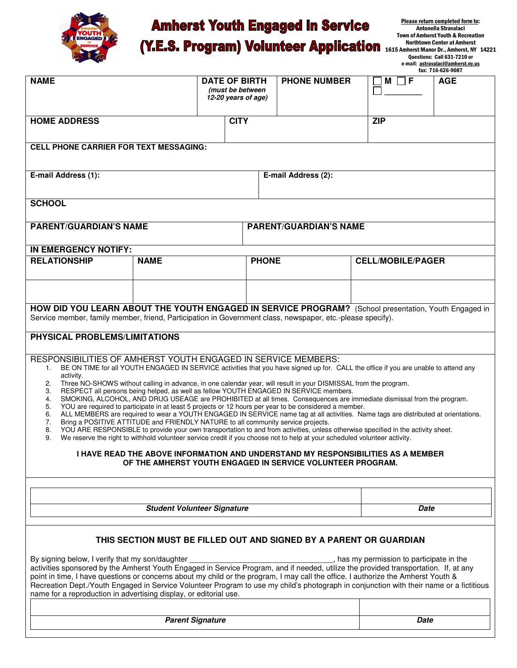

## **Amherst Youth Engaged in Service**

Please return completed form to: Antonella Stravalaci Town of Amherst Youth & Recreation Northtown Center at Amherst 1615 Amherst Manor Dr., Amherst, NY 14221 Questions: Call 631-7210 or e-mail: astravalaci@amherst.ny.us

| (Y.E.S. Program) Volunteer Application |  |  |
|----------------------------------------|--|--|
|----------------------------------------|--|--|

|                                                                                                                                                                                                                                                                              |                                                                                                                                                                                                                                 |                                         |                               |                          | fax: 716-626-9087 |
|------------------------------------------------------------------------------------------------------------------------------------------------------------------------------------------------------------------------------------------------------------------------------|---------------------------------------------------------------------------------------------------------------------------------------------------------------------------------------------------------------------------------|-----------------------------------------|-------------------------------|--------------------------|-------------------|
| <b>NAME</b>                                                                                                                                                                                                                                                                  |                                                                                                                                                                                                                                 | <b>DATE OF BIRTH</b>                    | <b>PHONE NUMBER</b>           | F<br>$M \mid \cdot$      | <b>AGE</b>        |
|                                                                                                                                                                                                                                                                              |                                                                                                                                                                                                                                 | (must be between<br>12-20 years of age) |                               |                          |                   |
|                                                                                                                                                                                                                                                                              |                                                                                                                                                                                                                                 |                                         |                               |                          |                   |
| <b>HOME ADDRESS</b>                                                                                                                                                                                                                                                          |                                                                                                                                                                                                                                 | <b>CITY</b>                             |                               | <b>ZIP</b>               |                   |
|                                                                                                                                                                                                                                                                              |                                                                                                                                                                                                                                 |                                         |                               |                          |                   |
| <b>CELL PHONE CARRIER FOR TEXT MESSAGING:</b>                                                                                                                                                                                                                                |                                                                                                                                                                                                                                 |                                         |                               |                          |                   |
|                                                                                                                                                                                                                                                                              |                                                                                                                                                                                                                                 |                                         |                               |                          |                   |
| E-mail Address (1):                                                                                                                                                                                                                                                          |                                                                                                                                                                                                                                 |                                         | E-mail Address (2):           |                          |                   |
|                                                                                                                                                                                                                                                                              |                                                                                                                                                                                                                                 |                                         |                               |                          |                   |
| <b>SCHOOL</b>                                                                                                                                                                                                                                                                |                                                                                                                                                                                                                                 |                                         |                               |                          |                   |
|                                                                                                                                                                                                                                                                              |                                                                                                                                                                                                                                 |                                         |                               |                          |                   |
| <b>PARENT/GUARDIAN'S NAME</b>                                                                                                                                                                                                                                                |                                                                                                                                                                                                                                 |                                         | <b>PARENT/GUARDIAN'S NAME</b> |                          |                   |
|                                                                                                                                                                                                                                                                              |                                                                                                                                                                                                                                 |                                         |                               |                          |                   |
| <b>IN EMERGENCY NOTIFY:</b><br><b>RELATIONSHIP</b>                                                                                                                                                                                                                           | <b>NAME</b>                                                                                                                                                                                                                     | <b>PHONE</b>                            |                               | <b>CELL/MOBILE/PAGER</b> |                   |
|                                                                                                                                                                                                                                                                              |                                                                                                                                                                                                                                 |                                         |                               |                          |                   |
|                                                                                                                                                                                                                                                                              |                                                                                                                                                                                                                                 |                                         |                               |                          |                   |
|                                                                                                                                                                                                                                                                              |                                                                                                                                                                                                                                 |                                         |                               |                          |                   |
| HOW DID YOU LEARN ABOUT THE YOUTH ENGAGED IN SERVICE PROGRAM? (School presentation, Youth Engaged in                                                                                                                                                                         |                                                                                                                                                                                                                                 |                                         |                               |                          |                   |
| Service member, family member, friend, Participation in Government class, newspaper, etc.-please specify).                                                                                                                                                                   |                                                                                                                                                                                                                                 |                                         |                               |                          |                   |
| PHYSICAL PROBLEMS/LIMITATIONS                                                                                                                                                                                                                                                |                                                                                                                                                                                                                                 |                                         |                               |                          |                   |
| RESPONSIBILITIES OF AMHERST YOUTH ENGAGED IN SERVICE MEMBERS:<br>BE ON TIME for all YOUTH ENGAGED IN SERVICE activities that you have signed up for. CALL the office if you are unable to attend any<br>1.                                                                   |                                                                                                                                                                                                                                 |                                         |                               |                          |                   |
| activity.                                                                                                                                                                                                                                                                    |                                                                                                                                                                                                                                 |                                         |                               |                          |                   |
| Three NO-SHOWS without calling in advance, in one calendar year, will result in your DISMISSAL from the program.<br>2.<br>RESPECT all persons being helped, as well as fellow YOUTH ENGAGED IN SERVICE members.<br>3.                                                        |                                                                                                                                                                                                                                 |                                         |                               |                          |                   |
| 4.<br>5.                                                                                                                                                                                                                                                                     | SMOKING, ALCOHOL, AND DRUG USEAGE are PROHIBITED at all times. Consequences are immediate dismissal from the program.<br>YOU are required to participate in at least 5 projects or 12 hours per year to be considered a member. |                                         |                               |                          |                   |
| 6.                                                                                                                                                                                                                                                                           | ALL MEMBERS are required to wear a YOUTH ENGAGED IN SERVICE name tag at all activities. Name tags are distributed at orientations.                                                                                              |                                         |                               |                          |                   |
| Bring a POSITIVE ATTITUDE and FRIENDLY NATURE to all community service projects.<br>7.<br>YOU ARE RESPONSIBLE to provide your own transportation to and from activities, unless otherwise specified in the activity sheet.<br>8.                                             |                                                                                                                                                                                                                                 |                                         |                               |                          |                   |
| We reserve the right to withhold volunteer service credit if you choose not to help at your scheduled volunteer activity.<br>9.                                                                                                                                              |                                                                                                                                                                                                                                 |                                         |                               |                          |                   |
| I HAVE READ THE ABOVE INFORMATION AND UNDERSTAND MY RESPONSIBILITIES AS A MEMBER                                                                                                                                                                                             |                                                                                                                                                                                                                                 |                                         |                               |                          |                   |
| OF THE AMHERST YOUTH ENGAGED IN SERVICE VOLUNTEER PROGRAM.                                                                                                                                                                                                                   |                                                                                                                                                                                                                                 |                                         |                               |                          |                   |
|                                                                                                                                                                                                                                                                              |                                                                                                                                                                                                                                 |                                         |                               |                          |                   |
|                                                                                                                                                                                                                                                                              |                                                                                                                                                                                                                                 |                                         |                               |                          |                   |
|                                                                                                                                                                                                                                                                              | <b>Student Volunteer Signature</b>                                                                                                                                                                                              |                                         |                               |                          | Date              |
|                                                                                                                                                                                                                                                                              |                                                                                                                                                                                                                                 |                                         |                               |                          |                   |
| THIS SECTION MUST BE FILLED OUT AND SIGNED BY A PARENT OR GUARDIAN                                                                                                                                                                                                           |                                                                                                                                                                                                                                 |                                         |                               |                          |                   |
|                                                                                                                                                                                                                                                                              |                                                                                                                                                                                                                                 |                                         |                               |                          |                   |
| By signing below, I verify that my son/daughter ________________________________, has my permission to participate in the activities sponsored by the Amherst Youth Engaged in Service Program, and if needed, utilize the pro                                               |                                                                                                                                                                                                                                 |                                         |                               |                          |                   |
| point in time, I have questions or concerns about my child or the program, I may call the office. I authorize the Amherst Youth &<br>Recreation Dept./Youth Engaged in Service Volunteer Program to use my child's photograph in conjunction with their name or a fictitious |                                                                                                                                                                                                                                 |                                         |                               |                          |                   |
| name for a reproduction in advertising display, or editorial use.                                                                                                                                                                                                            |                                                                                                                                                                                                                                 |                                         |                               |                          |                   |
|                                                                                                                                                                                                                                                                              |                                                                                                                                                                                                                                 |                                         |                               |                          |                   |
| <b>Parent Signature</b>                                                                                                                                                                                                                                                      |                                                                                                                                                                                                                                 |                                         | Date                          |                          |                   |